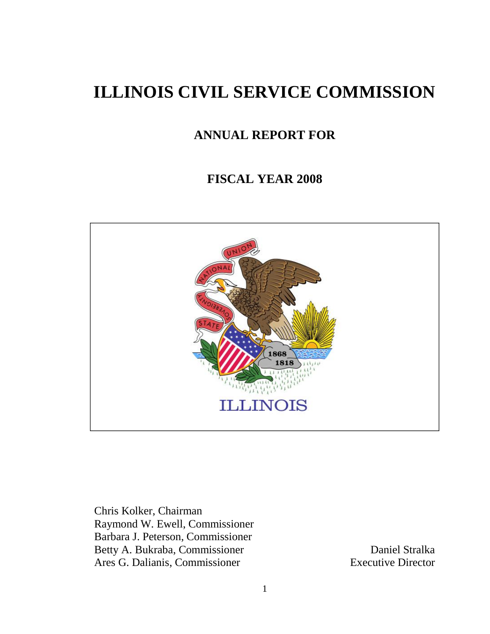# **ILLINOIS CIVIL SERVICE COMMISSION**

# **ANNUAL REPORT FOR**

# **FISCAL YEAR 2008**



Chris Kolker, Chairman Raymond W. Ewell, Commissioner Barbara J. Peterson, Commissioner Betty A. Bukraba, Commissioner Daniel Stralka Ares G. Dalianis, Commissioner Executive Director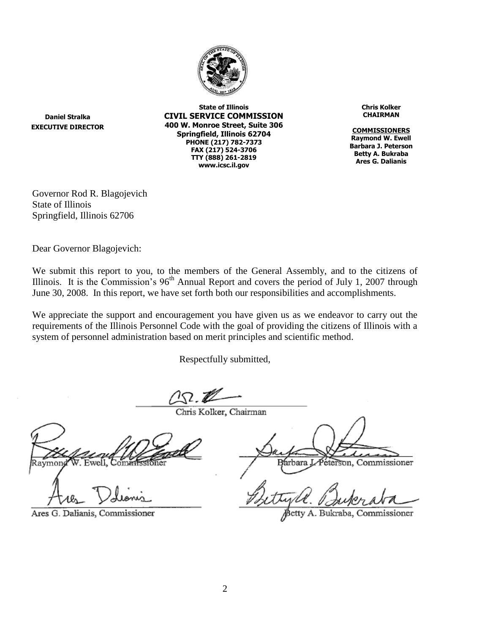

**Daniel Stralka EXECUTIVE DIRECTOR**

**State of Illinois CIVIL SERVICE COMMISSION 400 W. Monroe Street, Suite 306 Springfield, Illinois 62704 PHONE (217) 782-7373 FAX (217) 524-3706 TTY (888) 261-2819 www.icsc.il.gov**

**Chris Kolker CHAIRMAN**

**COMMISSIONERS Raymond W. Ewell Barbara J. Peterson Betty A. Bukraba Ares G. Dalianis**

Governor Rod R. Blagojevich State of Illinois Springfield, Illinois 62706

Dear Governor Blagojevich:

We submit this report to you, to the members of the General Assembly, and to the citizens of Illinois. It is the Commission's  $96<sup>th</sup>$  Annual Report and covers the period of July 1, 2007 through June 30, 2008. In this report, we have set forth both our responsibilities and accomplishments.

We appreciate the support and encouragement you have given us as we endeavor to carry out the requirements of the Illinois Personnel Code with the goal of providing the citizens of Illinois with a system of personnel administration based on merit principles and scientific method.

Respectfully submitted,

 $\sqrt{2}$  2

Chris Kolker, Chairman

Ares G. Dalianis, Commissioner

Péterson. Commissioner arbara

ssioner Bukraba. Commi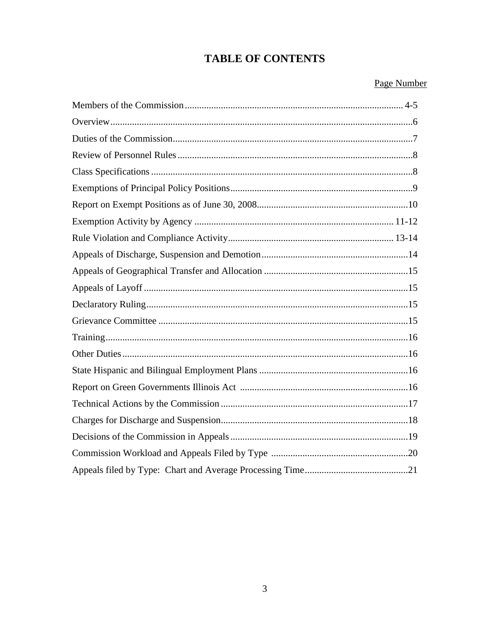# **TABLE OF CONTENTS**

## Page Number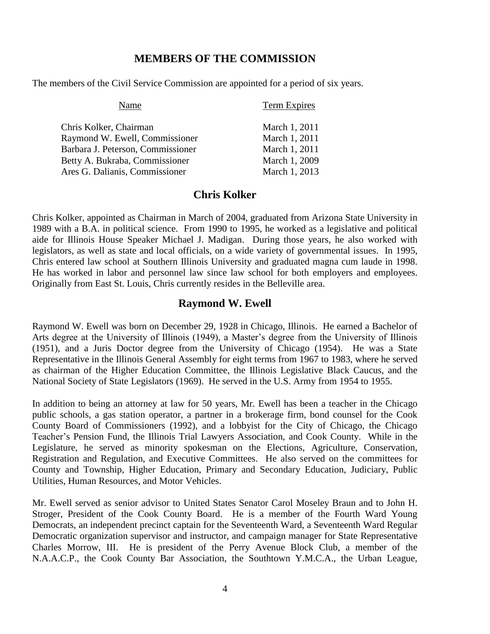#### **MEMBERS OF THE COMMISSION**

The members of the Civil Service Commission are appointed for a period of six years.

| Name                              | Term Expires  |
|-----------------------------------|---------------|
| Chris Kolker, Chairman            | March 1, 2011 |
| Raymond W. Ewell, Commissioner    | March 1, 2011 |
| Barbara J. Peterson, Commissioner | March 1, 2011 |
| Betty A. Bukraba, Commissioner    | March 1, 2009 |
| Ares G. Dalianis, Commissioner    | March 1, 2013 |
|                                   |               |

#### **Chris Kolker**

Chris Kolker, appointed as Chairman in March of 2004, graduated from Arizona State University in 1989 with a B.A. in political science. From 1990 to 1995, he worked as a legislative and political aide for Illinois House Speaker Michael J. Madigan. During those years, he also worked with legislators, as well as state and local officials, on a wide variety of governmental issues. In 1995, Chris entered law school at Southern Illinois University and graduated magna cum laude in 1998. He has worked in labor and personnel law since law school for both employers and employees. Originally from East St. Louis, Chris currently resides in the Belleville area.

#### **Raymond W. Ewell**

Raymond W. Ewell was born on December 29, 1928 in Chicago, Illinois. He earned a Bachelor of Arts degree at the University of Illinois (1949), a Master's degree from the University of Illinois (1951), and a Juris Doctor degree from the University of Chicago (1954). He was a State Representative in the Illinois General Assembly for eight terms from 1967 to 1983, where he served as chairman of the Higher Education Committee, the Illinois Legislative Black Caucus, and the National Society of State Legislators (1969). He served in the U.S. Army from 1954 to 1955.

In addition to being an attorney at law for 50 years, Mr. Ewell has been a teacher in the Chicago public schools, a gas station operator, a partner in a brokerage firm, bond counsel for the Cook County Board of Commissioners (1992), and a lobbyist for the City of Chicago, the Chicago Teacher's Pension Fund, the Illinois Trial Lawyers Association, and Cook County. While in the Legislature, he served as minority spokesman on the Elections, Agriculture, Conservation, Registration and Regulation, and Executive Committees. He also served on the committees for County and Township, Higher Education, Primary and Secondary Education, Judiciary, Public Utilities, Human Resources, and Motor Vehicles.

Mr. Ewell served as senior advisor to United States Senator Carol Moseley Braun and to John H. Stroger, President of the Cook County Board. He is a member of the Fourth Ward Young Democrats, an independent precinct captain for the Seventeenth Ward, a Seventeenth Ward Regular Democratic organization supervisor and instructor, and campaign manager for State Representative Charles Morrow, III. He is president of the Perry Avenue Block Club, a member of the N.A.A.C.P., the Cook County Bar Association, the Southtown Y.M.C.A., the Urban League,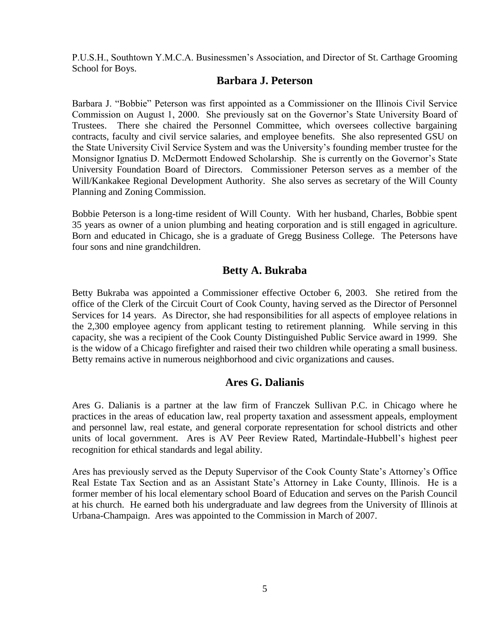P.U.S.H., Southtown Y.M.C.A. Businessmen's Association, and Director of St. Carthage Grooming School for Boys.

#### **Barbara J. Peterson**

Barbara J. "Bobbie" Peterson was first appointed as a Commissioner on the Illinois Civil Service Commission on August 1, 2000. She previously sat on the Governor's State University Board of Trustees. There she chaired the Personnel Committee, which oversees collective bargaining contracts, faculty and civil service salaries, and employee benefits. She also represented GSU on the State University Civil Service System and was the University's founding member trustee for the Monsignor Ignatius D. McDermott Endowed Scholarship. She is currently on the Governor's State University Foundation Board of Directors. Commissioner Peterson serves as a member of the Will/Kankakee Regional Development Authority. She also serves as secretary of the Will County Planning and Zoning Commission.

Bobbie Peterson is a long-time resident of Will County. With her husband, Charles, Bobbie spent 35 years as owner of a union plumbing and heating corporation and is still engaged in agriculture. Born and educated in Chicago, she is a graduate of Gregg Business College. The Petersons have four sons and nine grandchildren.

#### **Betty A. Bukraba**

Betty Bukraba was appointed a Commissioner effective October 6, 2003. She retired from the office of the Clerk of the Circuit Court of Cook County, having served as the Director of Personnel Services for 14 years. As Director, she had responsibilities for all aspects of employee relations in the 2,300 employee agency from applicant testing to retirement planning. While serving in this capacity, she was a recipient of the Cook County Distinguished Public Service award in 1999. She is the widow of a Chicago firefighter and raised their two children while operating a small business. Betty remains active in numerous neighborhood and civic organizations and causes.

## **Ares G. Dalianis**

Ares G. Dalianis is a partner at the law firm of Franczek Sullivan P.C. in Chicago where he practices in the areas of education law, real property taxation and assessment appeals, employment and personnel law, real estate, and general corporate representation for school districts and other units of local government. Ares is AV Peer Review Rated, Martindale-Hubbell's highest peer recognition for ethical standards and legal ability.

Ares has previously served as the Deputy Supervisor of the Cook County State's Attorney's Office Real Estate Tax Section and as an Assistant State's Attorney in Lake County, Illinois. He is a former member of his local elementary school Board of Education and serves on the Parish Council at his church. He earned both his undergraduate and law degrees from the University of Illinois at Urbana-Champaign. Ares was appointed to the Commission in March of 2007.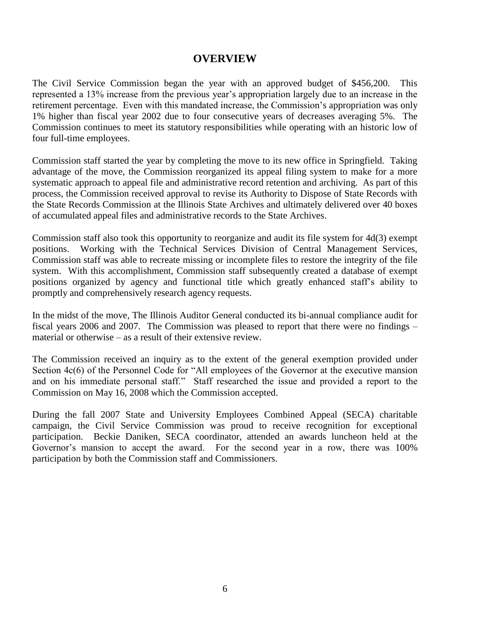#### **OVERVIEW**

The Civil Service Commission began the year with an approved budget of \$456,200. This represented a 13% increase from the previous year's appropriation largely due to an increase in the retirement percentage. Even with this mandated increase, the Commission's appropriation was only 1% higher than fiscal year 2002 due to four consecutive years of decreases averaging 5%. The Commission continues to meet its statutory responsibilities while operating with an historic low of four full-time employees.

Commission staff started the year by completing the move to its new office in Springfield. Taking advantage of the move, the Commission reorganized its appeal filing system to make for a more systematic approach to appeal file and administrative record retention and archiving. As part of this process, the Commission received approval to revise its Authority to Dispose of State Records with the State Records Commission at the Illinois State Archives and ultimately delivered over 40 boxes of accumulated appeal files and administrative records to the State Archives.

Commission staff also took this opportunity to reorganize and audit its file system for 4d(3) exempt positions. Working with the Technical Services Division of Central Management Services, Commission staff was able to recreate missing or incomplete files to restore the integrity of the file system. With this accomplishment, Commission staff subsequently created a database of exempt positions organized by agency and functional title which greatly enhanced staff's ability to promptly and comprehensively research agency requests.

In the midst of the move, The Illinois Auditor General conducted its bi-annual compliance audit for fiscal years 2006 and 2007. The Commission was pleased to report that there were no findings – material or otherwise – as a result of their extensive review.

The Commission received an inquiry as to the extent of the general exemption provided under Section  $4c(6)$  of the Personnel Code for "All employees of the Governor at the executive mansion and on his immediate personal staff." Staff researched the issue and provided a report to the Commission on May 16, 2008 which the Commission accepted.

During the fall 2007 State and University Employees Combined Appeal (SECA) charitable campaign, the Civil Service Commission was proud to receive recognition for exceptional participation. Beckie Daniken, SECA coordinator, attended an awards luncheon held at the Governor's mansion to accept the award. For the second year in a row, there was 100% participation by both the Commission staff and Commissioners.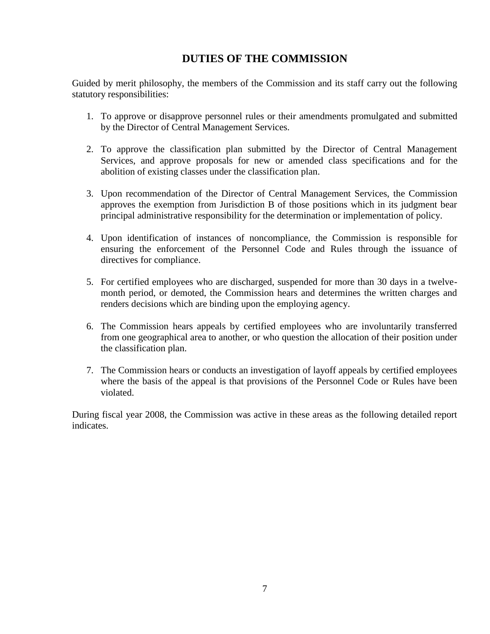## **DUTIES OF THE COMMISSION**

Guided by merit philosophy, the members of the Commission and its staff carry out the following statutory responsibilities:

- 1. To approve or disapprove personnel rules or their amendments promulgated and submitted by the Director of Central Management Services.
- 2. To approve the classification plan submitted by the Director of Central Management Services, and approve proposals for new or amended class specifications and for the abolition of existing classes under the classification plan.
- 3. Upon recommendation of the Director of Central Management Services, the Commission approves the exemption from Jurisdiction B of those positions which in its judgment bear principal administrative responsibility for the determination or implementation of policy.
- 4. Upon identification of instances of noncompliance, the Commission is responsible for ensuring the enforcement of the Personnel Code and Rules through the issuance of directives for compliance.
- 5. For certified employees who are discharged, suspended for more than 30 days in a twelvemonth period, or demoted, the Commission hears and determines the written charges and renders decisions which are binding upon the employing agency.
- 6. The Commission hears appeals by certified employees who are involuntarily transferred from one geographical area to another, or who question the allocation of their position under the classification plan.
- 7. The Commission hears or conducts an investigation of layoff appeals by certified employees where the basis of the appeal is that provisions of the Personnel Code or Rules have been violated.

During fiscal year 2008, the Commission was active in these areas as the following detailed report indicates.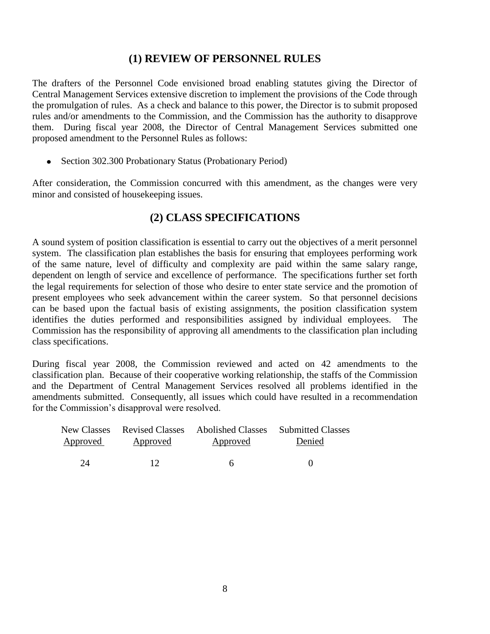#### **(1) REVIEW OF PERSONNEL RULES**

The drafters of the Personnel Code envisioned broad enabling statutes giving the Director of Central Management Services extensive discretion to implement the provisions of the Code through the promulgation of rules. As a check and balance to this power, the Director is to submit proposed rules and/or amendments to the Commission, and the Commission has the authority to disapprove them. During fiscal year 2008, the Director of Central Management Services submitted one proposed amendment to the Personnel Rules as follows:

• Section 302.300 Probationary Status (Probationary Period)

After consideration, the Commission concurred with this amendment, as the changes were very minor and consisted of housekeeping issues.

#### **(2) CLASS SPECIFICATIONS**

A sound system of position classification is essential to carry out the objectives of a merit personnel system. The classification plan establishes the basis for ensuring that employees performing work of the same nature, level of difficulty and complexity are paid within the same salary range, dependent on length of service and excellence of performance. The specifications further set forth the legal requirements for selection of those who desire to enter state service and the promotion of present employees who seek advancement within the career system. So that personnel decisions can be based upon the factual basis of existing assignments, the position classification system identifies the duties performed and responsibilities assigned by individual employees. The Commission has the responsibility of approving all amendments to the classification plan including class specifications.

During fiscal year 2008, the Commission reviewed and acted on 42 amendments to the classification plan. Because of their cooperative working relationship, the staffs of the Commission and the Department of Central Management Services resolved all problems identified in the amendments submitted. Consequently, all issues which could have resulted in a recommendation for the Commission's disapproval were resolved.

| Approved | Approved | Approved | Denied |
|----------|----------|----------|--------|
|          |          |          |        |
| 24       | 12       | h        |        |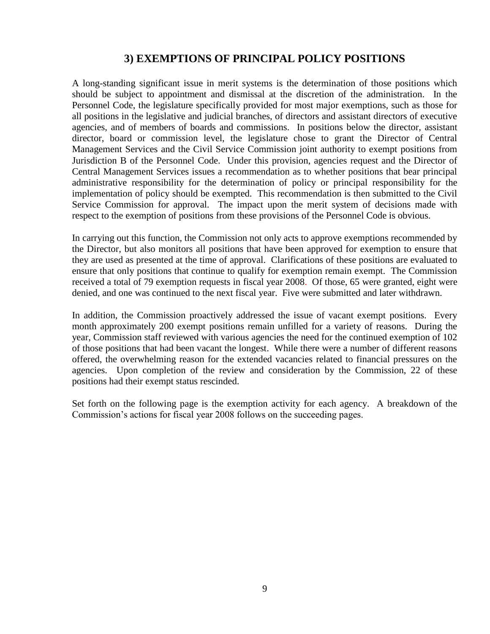#### **3) EXEMPTIONS OF PRINCIPAL POLICY POSITIONS**

A long-standing significant issue in merit systems is the determination of those positions which should be subject to appointment and dismissal at the discretion of the administration. In the Personnel Code, the legislature specifically provided for most major exemptions, such as those for all positions in the legislative and judicial branches, of directors and assistant directors of executive agencies, and of members of boards and commissions. In positions below the director, assistant director, board or commission level, the legislature chose to grant the Director of Central Management Services and the Civil Service Commission joint authority to exempt positions from Jurisdiction B of the Personnel Code. Under this provision, agencies request and the Director of Central Management Services issues a recommendation as to whether positions that bear principal administrative responsibility for the determination of policy or principal responsibility for the implementation of policy should be exempted. This recommendation is then submitted to the Civil Service Commission for approval. The impact upon the merit system of decisions made with respect to the exemption of positions from these provisions of the Personnel Code is obvious.

In carrying out this function, the Commission not only acts to approve exemptions recommended by the Director, but also monitors all positions that have been approved for exemption to ensure that they are used as presented at the time of approval. Clarifications of these positions are evaluated to ensure that only positions that continue to qualify for exemption remain exempt. The Commission received a total of 79 exemption requests in fiscal year 2008. Of those, 65 were granted, eight were denied, and one was continued to the next fiscal year. Five were submitted and later withdrawn.

In addition, the Commission proactively addressed the issue of vacant exempt positions. Every month approximately 200 exempt positions remain unfilled for a variety of reasons. During the year, Commission staff reviewed with various agencies the need for the continued exemption of 102 of those positions that had been vacant the longest. While there were a number of different reasons offered, the overwhelming reason for the extended vacancies related to financial pressures on the agencies. Upon completion of the review and consideration by the Commission, 22 of these positions had their exempt status rescinded.

Set forth on the following page is the exemption activity for each agency. A breakdown of the Commission's actions for fiscal year 2008 follows on the succeeding pages.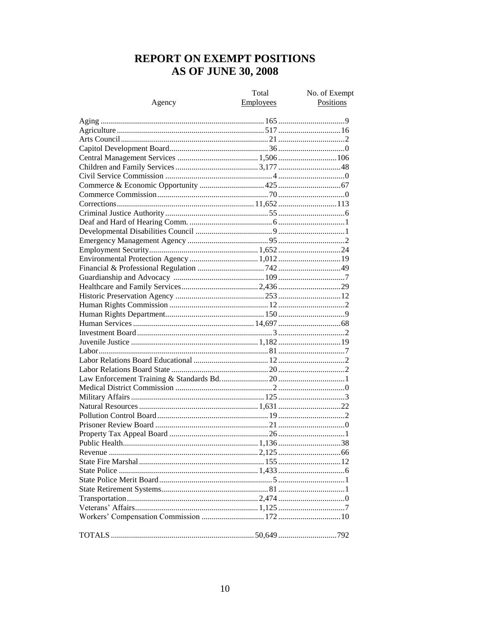## REPORT ON EXEMPT POSITIONS **AS OF JUNE 30, 2008**

|        | Total            | No. of Exempt |
|--------|------------------|---------------|
| Agency | <b>Employees</b> | Positions     |
|        |                  |               |
|        |                  |               |
|        |                  |               |
|        |                  |               |
|        |                  |               |
|        |                  |               |
|        |                  |               |
|        |                  |               |
|        |                  |               |
|        |                  |               |
|        |                  |               |
|        |                  |               |
|        |                  |               |
|        |                  |               |
|        |                  |               |
|        |                  |               |
|        |                  |               |
|        |                  |               |
|        |                  |               |
|        |                  |               |
|        |                  |               |
|        |                  |               |
|        |                  |               |
|        |                  |               |
|        |                  |               |
|        |                  |               |
|        |                  |               |
|        |                  |               |
|        |                  |               |
|        |                  |               |
|        |                  |               |
|        |                  |               |
|        |                  |               |
|        |                  |               |
|        |                  |               |
|        |                  |               |
|        |                  |               |
|        |                  |               |
|        |                  |               |
|        |                  |               |
|        |                  |               |
|        |                  |               |
|        |                  |               |
|        |                  |               |
|        |                  |               |
|        |                  |               |
|        |                  |               |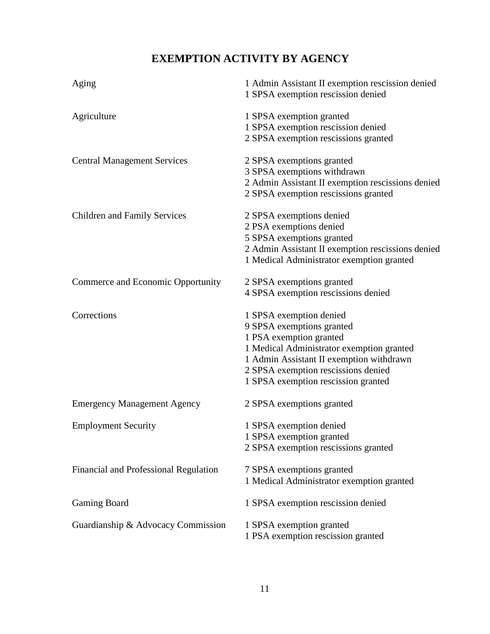# **EXEMPTION ACTIVITY BY AGENCY**

| Aging                                 | 1 Admin Assistant II exemption rescission denied<br>1 SPSA exemption rescission denied                                                                                                                                                                 |
|---------------------------------------|--------------------------------------------------------------------------------------------------------------------------------------------------------------------------------------------------------------------------------------------------------|
| Agriculture                           | 1 SPSA exemption granted<br>1 SPSA exemption rescission denied<br>2 SPSA exemption rescissions granted                                                                                                                                                 |
| <b>Central Management Services</b>    | 2 SPSA exemptions granted<br>3 SPSA exemptions withdrawn<br>2 Admin Assistant II exemption rescissions denied<br>2 SPSA exemption rescissions granted                                                                                                  |
| <b>Children and Family Services</b>   | 2 SPSA exemptions denied<br>2 PSA exemptions denied<br>5 SPSA exemptions granted<br>2 Admin Assistant II exemption rescissions denied<br>1 Medical Administrator exemption granted                                                                     |
| Commerce and Economic Opportunity     | 2 SPSA exemptions granted<br>4 SPSA exemption rescissions denied                                                                                                                                                                                       |
| Corrections                           | 1 SPSA exemption denied<br>9 SPSA exemptions granted<br>1 PSA exemption granted<br>1 Medical Administrator exemption granted<br>1 Admin Assistant II exemption withdrawn<br>2 SPSA exemption rescissions denied<br>1 SPSA exemption rescission granted |
| <b>Emergency Management Agency</b>    | 2 SPSA exemptions granted                                                                                                                                                                                                                              |
| <b>Employment Security</b>            | 1 SPSA exemption denied<br>1 SPSA exemption granted<br>2 SPSA exemption rescissions granted                                                                                                                                                            |
| Financial and Professional Regulation | 7 SPSA exemptions granted<br>1 Medical Administrator exemption granted                                                                                                                                                                                 |
| <b>Gaming Board</b>                   | 1 SPSA exemption rescission denied                                                                                                                                                                                                                     |
| Guardianship & Advocacy Commission    | 1 SPSA exemption granted<br>1 PSA exemption rescission granted                                                                                                                                                                                         |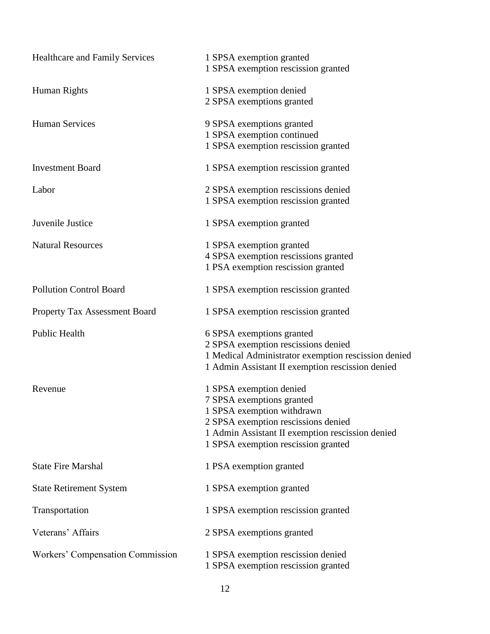| <b>Healthcare and Family Services</b>   | 1 SPSA exemption granted<br>1 SPSA exemption rescission granted           |
|-----------------------------------------|---------------------------------------------------------------------------|
|                                         |                                                                           |
| Human Rights                            | 1 SPSA exemption denied                                                   |
|                                         | 2 SPSA exemptions granted                                                 |
| <b>Human Services</b>                   | 9 SPSA exemptions granted                                                 |
|                                         | 1 SPSA exemption continued                                                |
|                                         | 1 SPSA exemption rescission granted                                       |
| <b>Investment Board</b>                 | 1 SPSA exemption rescission granted                                       |
| Labor                                   | 2 SPSA exemption rescissions denied                                       |
|                                         | 1 SPSA exemption rescission granted                                       |
| Juvenile Justice                        | 1 SPSA exemption granted                                                  |
| <b>Natural Resources</b>                | 1 SPSA exemption granted                                                  |
|                                         | 4 SPSA exemption rescissions granted                                      |
|                                         | 1 PSA exemption rescission granted                                        |
| <b>Pollution Control Board</b>          | 1 SPSA exemption rescission granted                                       |
| Property Tax Assessment Board           | 1 SPSA exemption rescission granted                                       |
| Public Health                           | 6 SPSA exemptions granted                                                 |
|                                         | 2 SPSA exemption rescissions denied                                       |
|                                         | 1 Medical Administrator exemption rescission denied                       |
|                                         | 1 Admin Assistant II exemption rescission denied                          |
| Revenue                                 | 1 SPSA exemption denied                                                   |
|                                         | 7 SPSA exemptions granted                                                 |
|                                         | 1 SPSA exemption withdrawn                                                |
|                                         | 2 SPSA exemption rescissions denied                                       |
|                                         | 1 Admin Assistant II exemption rescission denied                          |
|                                         | 1 SPSA exemption rescission granted                                       |
| <b>State Fire Marshal</b>               | 1 PSA exemption granted                                                   |
| <b>State Retirement System</b>          | 1 SPSA exemption granted                                                  |
| Transportation                          | 1 SPSA exemption rescission granted                                       |
| Veterans' Affairs                       | 2 SPSA exemptions granted                                                 |
| <b>Workers' Compensation Commission</b> | 1 SPSA exemption rescission denied<br>1 SPSA exemption rescission granted |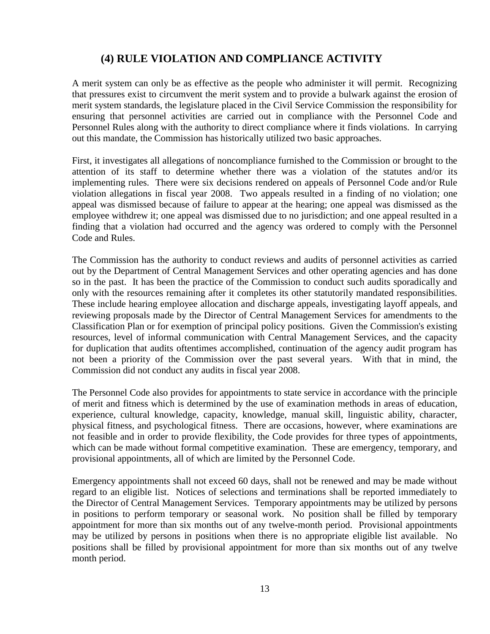## **(4) RULE VIOLATION AND COMPLIANCE ACTIVITY**

A merit system can only be as effective as the people who administer it will permit. Recognizing that pressures exist to circumvent the merit system and to provide a bulwark against the erosion of merit system standards, the legislature placed in the Civil Service Commission the responsibility for ensuring that personnel activities are carried out in compliance with the Personnel Code and Personnel Rules along with the authority to direct compliance where it finds violations. In carrying out this mandate, the Commission has historically utilized two basic approaches.

First, it investigates all allegations of noncompliance furnished to the Commission or brought to the attention of its staff to determine whether there was a violation of the statutes and/or its implementing rules. There were six decisions rendered on appeals of Personnel Code and/or Rule violation allegations in fiscal year 2008. Two appeals resulted in a finding of no violation; one appeal was dismissed because of failure to appear at the hearing; one appeal was dismissed as the employee withdrew it; one appeal was dismissed due to no jurisdiction; and one appeal resulted in a finding that a violation had occurred and the agency was ordered to comply with the Personnel Code and Rules.

The Commission has the authority to conduct reviews and audits of personnel activities as carried out by the Department of Central Management Services and other operating agencies and has done so in the past. It has been the practice of the Commission to conduct such audits sporadically and only with the resources remaining after it completes its other statutorily mandated responsibilities. These include hearing employee allocation and discharge appeals, investigating layoff appeals, and reviewing proposals made by the Director of Central Management Services for amendments to the Classification Plan or for exemption of principal policy positions. Given the Commission's existing resources, level of informal communication with Central Management Services, and the capacity for duplication that audits oftentimes accomplished, continuation of the agency audit program has not been a priority of the Commission over the past several years. With that in mind, the Commission did not conduct any audits in fiscal year 2008.

The Personnel Code also provides for appointments to state service in accordance with the principle of merit and fitness which is determined by the use of examination methods in areas of education, experience, cultural knowledge, capacity, knowledge, manual skill, linguistic ability, character, physical fitness, and psychological fitness. There are occasions, however, where examinations are not feasible and in order to provide flexibility, the Code provides for three types of appointments, which can be made without formal competitive examination. These are emergency, temporary, and provisional appointments, all of which are limited by the Personnel Code.

Emergency appointments shall not exceed 60 days, shall not be renewed and may be made without regard to an eligible list. Notices of selections and terminations shall be reported immediately to the Director of Central Management Services. Temporary appointments may be utilized by persons in positions to perform temporary or seasonal work. No position shall be filled by temporary appointment for more than six months out of any twelve-month period. Provisional appointments may be utilized by persons in positions when there is no appropriate eligible list available. No positions shall be filled by provisional appointment for more than six months out of any twelve month period.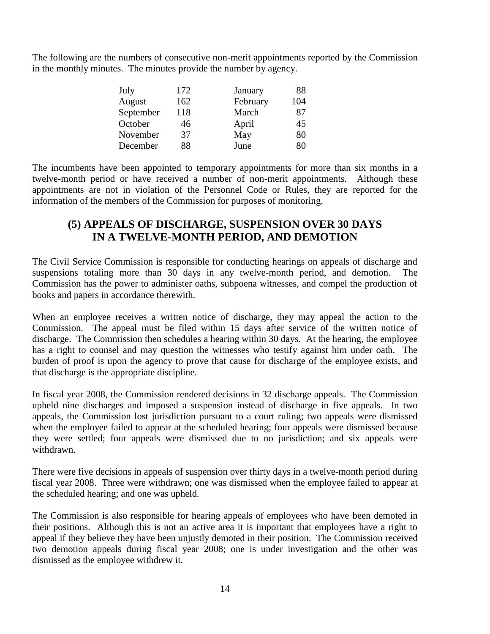The following are the numbers of consecutive non-merit appointments reported by the Commission in the monthly minutes. The minutes provide the number by agency.

| July      | 172 | January  | 88  |
|-----------|-----|----------|-----|
| August    | 162 | February | 104 |
| September | 118 | March    | 87  |
| October   | 46  | April    | 45  |
| November  | 37  | May      | 80  |
| December  | 88  | June     | 80  |

The incumbents have been appointed to temporary appointments for more than six months in a twelve-month period or have received a number of non-merit appointments. Although these appointments are not in violation of the Personnel Code or Rules, they are reported for the information of the members of the Commission for purposes of monitoring.

#### **(5) APPEALS OF DISCHARGE, SUSPENSION OVER 30 DAYS IN A TWELVE-MONTH PERIOD, AND DEMOTION**

The Civil Service Commission is responsible for conducting hearings on appeals of discharge and suspensions totaling more than 30 days in any twelve-month period, and demotion. The Commission has the power to administer oaths, subpoena witnesses, and compel the production of books and papers in accordance therewith.

When an employee receives a written notice of discharge, they may appeal the action to the Commission. The appeal must be filed within 15 days after service of the written notice of discharge. The Commission then schedules a hearing within 30 days. At the hearing, the employee has a right to counsel and may question the witnesses who testify against him under oath. The burden of proof is upon the agency to prove that cause for discharge of the employee exists, and that discharge is the appropriate discipline.

In fiscal year 2008, the Commission rendered decisions in 32 discharge appeals. The Commission upheld nine discharges and imposed a suspension instead of discharge in five appeals. In two appeals, the Commission lost jurisdiction pursuant to a court ruling; two appeals were dismissed when the employee failed to appear at the scheduled hearing; four appeals were dismissed because they were settled; four appeals were dismissed due to no jurisdiction; and six appeals were withdrawn.

There were five decisions in appeals of suspension over thirty days in a twelve-month period during fiscal year 2008. Three were withdrawn; one was dismissed when the employee failed to appear at the scheduled hearing; and one was upheld.

The Commission is also responsible for hearing appeals of employees who have been demoted in their positions. Although this is not an active area it is important that employees have a right to appeal if they believe they have been unjustly demoted in their position. The Commission received two demotion appeals during fiscal year 2008; one is under investigation and the other was dismissed as the employee withdrew it.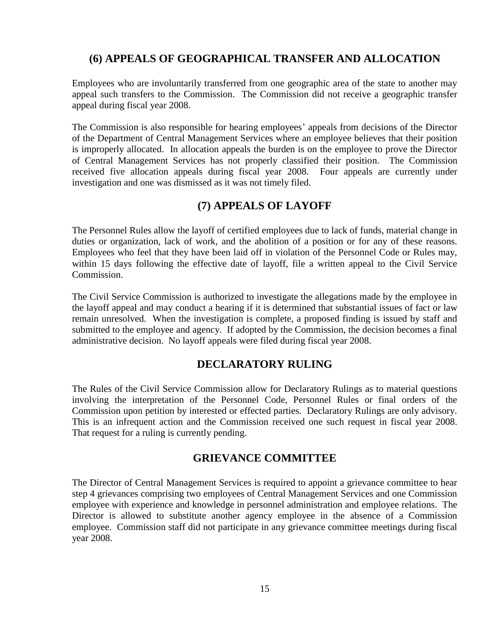## **(6) APPEALS OF GEOGRAPHICAL TRANSFER AND ALLOCATION**

Employees who are involuntarily transferred from one geographic area of the state to another may appeal such transfers to the Commission. The Commission did not receive a geographic transfer appeal during fiscal year 2008.

The Commission is also responsible for hearing employees' appeals from decisions of the Director of the Department of Central Management Services where an employee believes that their position is improperly allocated. In allocation appeals the burden is on the employee to prove the Director of Central Management Services has not properly classified their position. The Commission received five allocation appeals during fiscal year 2008. Four appeals are currently under investigation and one was dismissed as it was not timely filed.

## **(7) APPEALS OF LAYOFF**

The Personnel Rules allow the layoff of certified employees due to lack of funds, material change in duties or organization, lack of work, and the abolition of a position or for any of these reasons. Employees who feel that they have been laid off in violation of the Personnel Code or Rules may, within 15 days following the effective date of layoff, file a written appeal to the Civil Service Commission.

The Civil Service Commission is authorized to investigate the allegations made by the employee in the layoff appeal and may conduct a hearing if it is determined that substantial issues of fact or law remain unresolved. When the investigation is complete, a proposed finding is issued by staff and submitted to the employee and agency. If adopted by the Commission, the decision becomes a final administrative decision. No layoff appeals were filed during fiscal year 2008.

## **DECLARATORY RULING**

The Rules of the Civil Service Commission allow for Declaratory Rulings as to material questions involving the interpretation of the Personnel Code, Personnel Rules or final orders of the Commission upon petition by interested or effected parties. Declaratory Rulings are only advisory. This is an infrequent action and the Commission received one such request in fiscal year 2008. That request for a ruling is currently pending.

#### **GRIEVANCE COMMITTEE**

The Director of Central Management Services is required to appoint a grievance committee to hear step 4 grievances comprising two employees of Central Management Services and one Commission employee with experience and knowledge in personnel administration and employee relations. The Director is allowed to substitute another agency employee in the absence of a Commission employee. Commission staff did not participate in any grievance committee meetings during fiscal year 2008.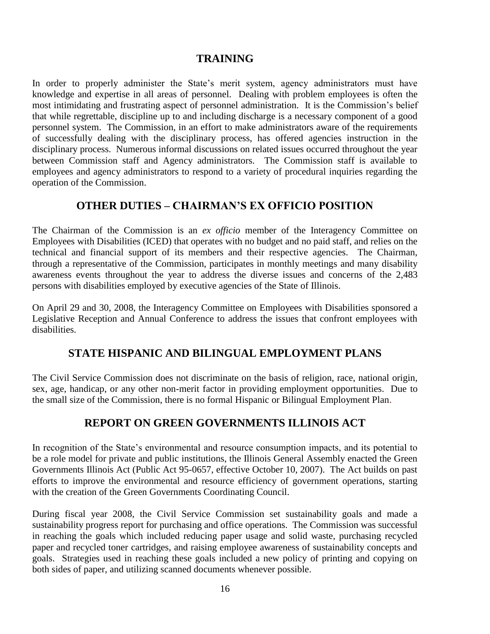#### **TRAINING**

In order to properly administer the State's merit system, agency administrators must have knowledge and expertise in all areas of personnel. Dealing with problem employees is often the most intimidating and frustrating aspect of personnel administration. It is the Commission's belief that while regrettable, discipline up to and including discharge is a necessary component of a good personnel system. The Commission, in an effort to make administrators aware of the requirements of successfully dealing with the disciplinary process, has offered agencies instruction in the disciplinary process. Numerous informal discussions on related issues occurred throughout the year between Commission staff and Agency administrators. The Commission staff is available to employees and agency administrators to respond to a variety of procedural inquiries regarding the operation of the Commission.

## **OTHER DUTIES – CHAIRMAN'S EX OFFICIO POSITION**

The Chairman of the Commission is an *ex officio* member of the Interagency Committee on Employees with Disabilities (ICED) that operates with no budget and no paid staff, and relies on the technical and financial support of its members and their respective agencies. The Chairman, through a representative of the Commission, participates in monthly meetings and many disability awareness events throughout the year to address the diverse issues and concerns of the 2,483 persons with disabilities employed by executive agencies of the State of Illinois.

On April 29 and 30, 2008, the Interagency Committee on Employees with Disabilities sponsored a Legislative Reception and Annual Conference to address the issues that confront employees with disabilities.

## **STATE HISPANIC AND BILINGUAL EMPLOYMENT PLANS**

The Civil Service Commission does not discriminate on the basis of religion, race, national origin, sex, age, handicap, or any other non-merit factor in providing employment opportunities. Due to the small size of the Commission, there is no formal Hispanic or Bilingual Employment Plan.

## **REPORT ON GREEN GOVERNMENTS ILLINOIS ACT**

In recognition of the State's environmental and resource consumption impacts, and its potential to be a role model for private and public institutions, the Illinois General Assembly enacted the Green Governments Illinois Act (Public Act 95-0657, effective October 10, 2007). The Act builds on past efforts to improve the environmental and resource efficiency of government operations, starting with the creation of the Green Governments Coordinating Council.

During fiscal year 2008, the Civil Service Commission set sustainability goals and made a sustainability progress report for purchasing and office operations. The Commission was successful in reaching the goals which included reducing paper usage and solid waste, purchasing recycled paper and recycled toner cartridges, and raising employee awareness of sustainability concepts and goals. Strategies used in reaching these goals included a new policy of printing and copying on both sides of paper, and utilizing scanned documents whenever possible.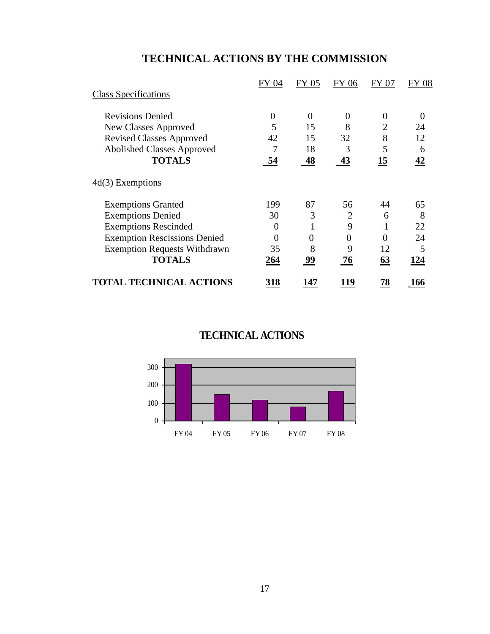# **TECHNICAL ACTIONS BY THE COMMISSION**

|                                     | FY 04      | FY 05          | FY 06       | FY 07          | <b>FY 08</b> |
|-------------------------------------|------------|----------------|-------------|----------------|--------------|
| <b>Class Specifications</b>         |            |                |             |                |              |
| <b>Revisions Denied</b>             | $\Omega$   | $\overline{0}$ | 0           | $\Omega$       | 0            |
| New Classes Approved                | 5          | 15             | 8           | $\overline{2}$ | 24           |
| <b>Revised Classes Approved</b>     | 42         | 15             | 32          | 8              | 12           |
| <b>Abolished Classes Approved</b>   | 7          | 18             | 3           | 5              | 6            |
| <b>TOTALS</b>                       | 54         | 48             | <b>43</b>   | <u>15</u>      | 42           |
| $4d(3)$ Exemptions                  |            |                |             |                |              |
| <b>Exemptions Granted</b>           | 199        | 87             | 56          | 44             | 65           |
| <b>Exemptions Denied</b>            | 30         | 3              | 2           | 6              | 8            |
| <b>Exemptions Rescinded</b>         | 0          |                | 9           |                | 22           |
| <b>Exemption Rescissions Denied</b> | $\theta$   | $\overline{0}$ | 0           | $\theta$       | 24           |
| <b>Exemption Requests Withdrawn</b> | 35         | 8              | 9           | 12             | 5            |
| <b>TOTALS</b>                       | <u>264</u> | 99             | 76          | 63             | 124          |
| <b>TOTAL TECHNICAL ACTIONS</b>      | <u>318</u> | 147            | <u> 119</u> | <u>78</u>      | <u> 166</u>  |

## **TECHNICAL ACTIONS**

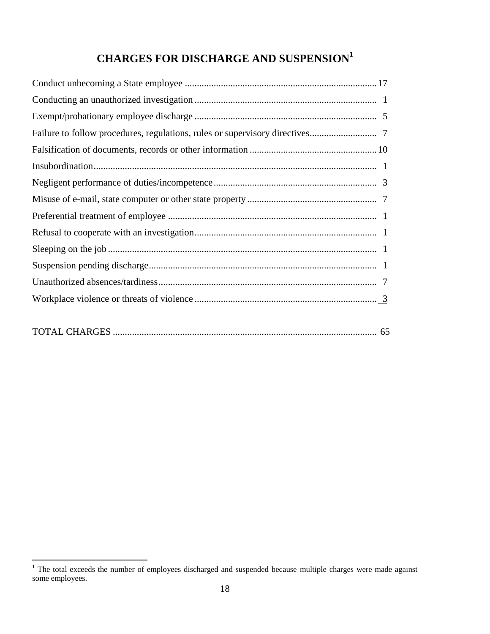# **CHARGES FOR DISCHARGE AND SUSPENSION<sup>1</sup>**

 $\overline{a}$ 

 $1$  The total exceeds the number of employees discharged and suspended because multiple charges were made against some employees.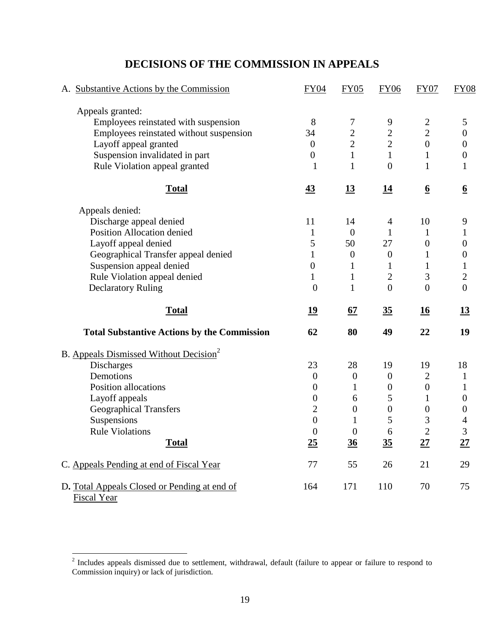## A. Substantive Actions by the Commission FY04 FY05 FY06 FY07 FY08 Appeals granted: Employees reinstated with suspension 8 7 9 2 5 Employees reinstated without suspension 34 2 2 2 0 Layoff appeal granted  $0 \t 2 \t 2 \t 0 \t 0$ Suspension invalidated in part  $\begin{array}{cccc} 0 & 1 & 1 & 1 \end{array}$ Rule Violation appeal granted 1 1 0 1 1 **Total 43 13 14 6 6** Appeals denied: Discharge appeal denied 11 14 4 10 9 Position Allocation denied 1 0 1 1 1 Layoff appeal denied  $5 \t 50 \t 27 \t 0 \t 0$ Geographical Transfer appeal denied 1 0 0 1 0 Suspension appeal denied 0 1 1 1 1 1 Rule Violation appeal denied 1 1 2 3 2 Declaratory Ruling 0 1 0 0 0 **Total 19 67 35 16 13 Total Substantive Actions by the Commission 62 80 49 22 19** B. Appeals Dismissed Without Decision<sup>2</sup> Discharges 23 28 19 18 Demotions  $0$  0 0 2 1 Position allocations 0 1 0 0 1 Layoff appeals  $0 \t 6 \t 5 \t 1 \t 0$ Geographical Transfers 2 0 0 0 0 0 Suspensions  $0 \t 1 \t 5 \t 3 \t 4$ Rule Violations  $\begin{array}{cccc} 0 & 0 & 6 & 2 & 3 \end{array}$ **Total 25 36 35 27****27** C. Appeals Pending at end of Fiscal Year 77 55 26 21 29 D**.** Total Appeals Closed or Pending at end of Fiscal Year 164 171 110 70 75

#### **DECISIONS OF THE COMMISSION IN APPEALS**

<sup>&</sup>lt;sup>2</sup> Includes appeals dismissed due to settlement, withdrawal, default (failure to appear or failure to respond to Commission inquiry) or lack of jurisdiction.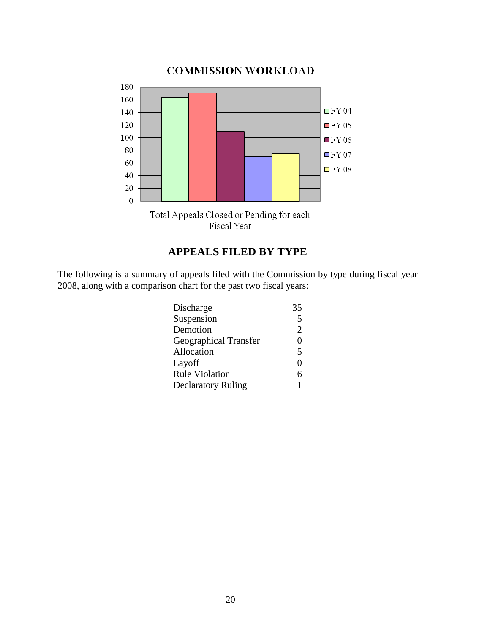

## **APPEALS FILED BY TYPE**

The following is a summary of appeals filed with the Commission by type during fiscal year 2008, along with a comparison chart for the past two fiscal years:

| Discharge                 | 35                      |
|---------------------------|-------------------------|
| Suspension                | 5                       |
| Demotion                  | $\overline{2}$          |
| Geographical Transfer     | 0                       |
| Allocation                | $\overline{\mathbf{5}}$ |
| Layoff                    | $\mathbf{\Omega}$       |
| <b>Rule Violation</b>     | 6                       |
| <b>Declaratory Ruling</b> |                         |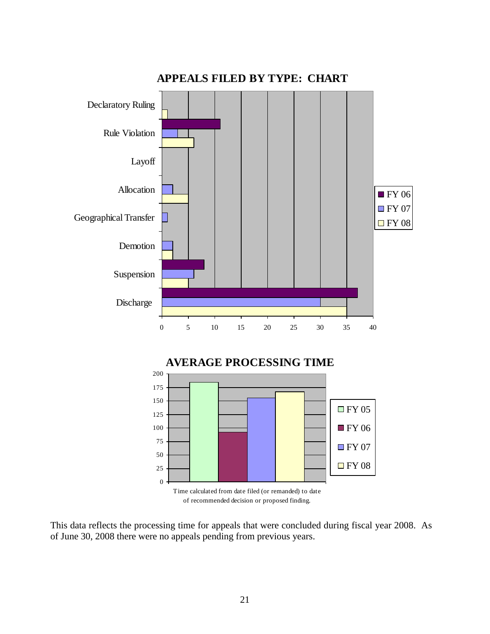

This data reflects the processing time for appeals that were concluded during fiscal year 2008. As of June 30, 2008 there were no appeals pending from previous years.